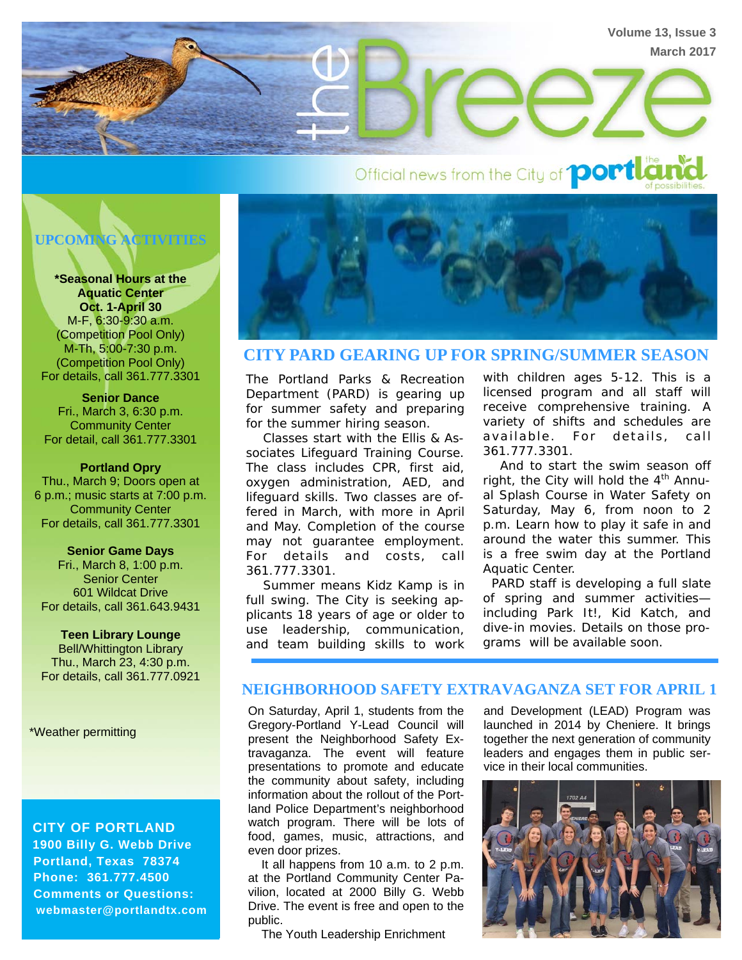

Official news from the City of **port Land** 



**\*Seasonal Hours at the Aquatic Center Oct. 1-April 30** M-F, 6:30-9:30 a.m. (Competition Pool Only) M-Th, 5:00-7:30 p.m. (Competition Pool Only) For details, call 361.777.3301

**Senior Dance**  Fri., March 3, 6:30 p.m. Community Center For detail, call 361.777.3301

#### **Portland Opry**

Thu., March 9; Doors open at 6 p.m.; music starts at 7:00 p.m. Community Center For details, call 361.777.3301

#### **Senior Game Days**

Fri., March 8, 1:00 p.m. Senior Center 601 Wildcat Drive For details, call 361.643.9431

**Teen Library Lounge** Bell/Whittington Library Thu., March 23, 4:30 p.m. For details, call 361.777.0921

\*Weather permitting

 **CITY OF PORTLAND 1900 Billy G. Webb Drive Portland, Texas 78374 Phone: 361.777.4500 Comments or Questions: webmaster@portlandtx.com** 



## **CITY PARD GEARING UP FOR SPRING/SUMMER SEASON**

The Portland Parks & Recreation Department (PARD) is gearing up for summer safety and preparing for the summer hiring season.

 Classes start with the Ellis & Associates Lifeguard Training Course. The class includes CPR, first aid, oxygen administration, AED, and lifeguard skills. Two classes are offered in March, with more in April and May. Completion of the course may not guarantee employment. For details and costs, call 361.777.3301.

 Summer means Kidz Kamp is in full swing. The City is seeking applicants 18 years of age or older to use leadership, communication, and team building skills to work

with children ages 5-12. This is a licensed program and all staff will receive comprehensive training. A variety of shifts and schedules are available. For details, call 361.777.3301.

 And to start the swim season off right, the City will hold the  $4<sup>th</sup>$  Annual Splash Course in Water Safety on Saturday, May 6, from noon to 2 p.m. Learn how to play it safe in and around the water this summer. This is a free swim day at the Portland Aquatic Center.

 PARD staff is developing a full slate of spring and summer activities including Park It!, Kid Katch, and dive-in movies. Details on those programs will be available soon.

### **NEIGHBORHOOD SAFETY EXTRAVAGANZA SET FOR APRIL 1**

On Saturday, April 1, students from the Gregory-Portland Y-Lead Council will present the Neighborhood Safety Extravaganza. The event will feature presentations to promote and educate the community about safety, including information about the rollout of the Portland Police Department's neighborhood watch program. There will be lots of food, games, music, attractions, and even door prizes.

 It all happens from 10 a.m. to 2 p.m. at the Portland Community Center Pavilion, located at 2000 Billy G. Webb Drive. The event is free and open to the public.

The Youth Leadership Enrichment

and Development (LEAD) Program was launched in 2014 by Cheniere. It brings together the next generation of community leaders and engages them in public service in their local communities.